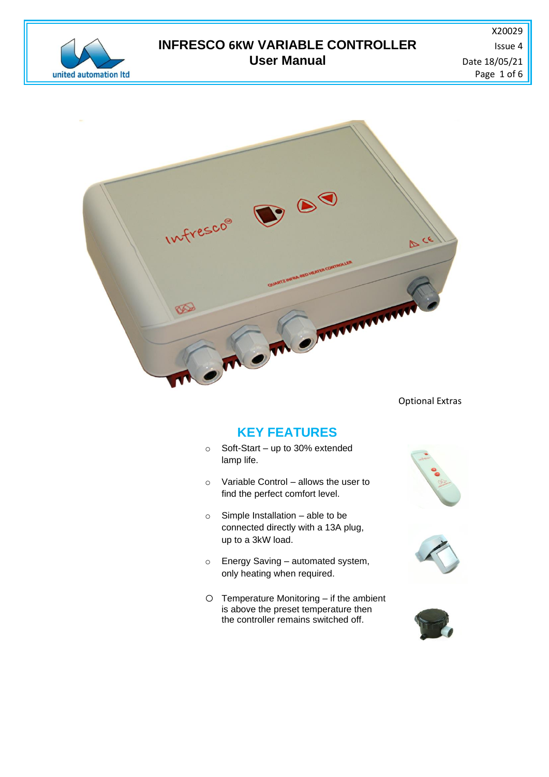

## **INFRESCO 6KW VARIABLE CONTROLLER ISSUE 4** ISSue 4 **User Manual**  Date 18/05/21

X20029 Page 1 of 6



Optional Extras

# **KEY FEATURES**

- o Soft-Start up to 30% extended lamp life.
- o Variable Control allows the user to find the perfect comfort level.
- o Simple Installation able to be connected directly with a 13A plug, up to a 3kW load.
- o Energy Saving automated system, only heating when required.
- o Temperature Monitoring if the ambient is above the preset temperature then the controller remains switched off.





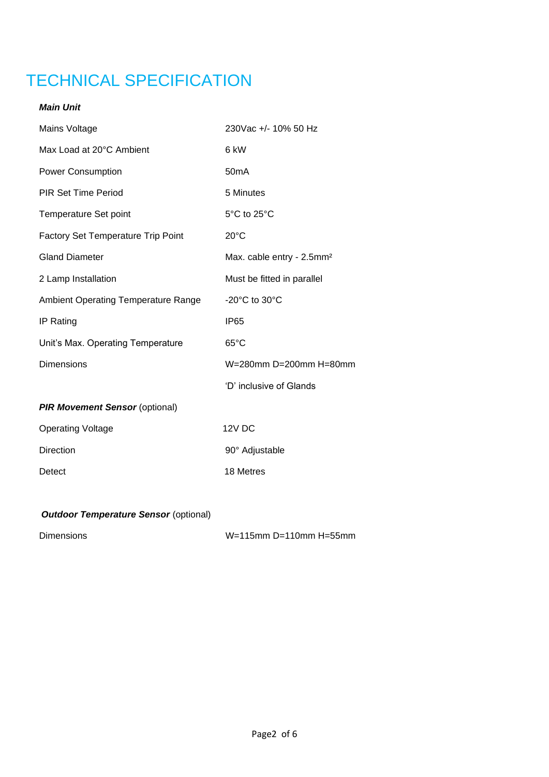# TECHNICAL SPECIFICATION

### *Main Unit*

| Mains Voltage                              | 230Vac +/- 10% 50 Hz                  |  |
|--------------------------------------------|---------------------------------------|--|
| Max Load at 20°C Ambient                   | 6 kW                                  |  |
| <b>Power Consumption</b>                   | 50 <sub>m</sub> A                     |  |
| <b>PIR Set Time Period</b>                 | 5 Minutes                             |  |
| <b>Temperature Set point</b>               | 5°C to 25°C                           |  |
| <b>Factory Set Temperature Trip Point</b>  | $20^{\circ}$ C                        |  |
| <b>Gland Diameter</b>                      | Max. cable entry - 2.5mm <sup>2</sup> |  |
| 2 Lamp Installation                        | Must be fitted in parallel            |  |
| <b>Ambient Operating Temperature Range</b> | $-20^{\circ}$ C to $30^{\circ}$ C     |  |
| IP Rating                                  | <b>IP65</b>                           |  |
| Unit's Max. Operating Temperature          | $65^{\circ}$ C                        |  |
| <b>Dimensions</b>                          | W=280mm D=200mm H=80mm                |  |
|                                            | 'D' inclusive of Glands               |  |
| <b>PIR Movement Sensor (optional)</b>      |                                       |  |
| <b>Operating Voltage</b>                   | 12V DC                                |  |
| Direction                                  | 90° Adjustable                        |  |
| Detect                                     | 18 Metres                             |  |

## *Outdoor Temperature Sensor (optional)*

Dimensions W=115mm D=110mm H=55mm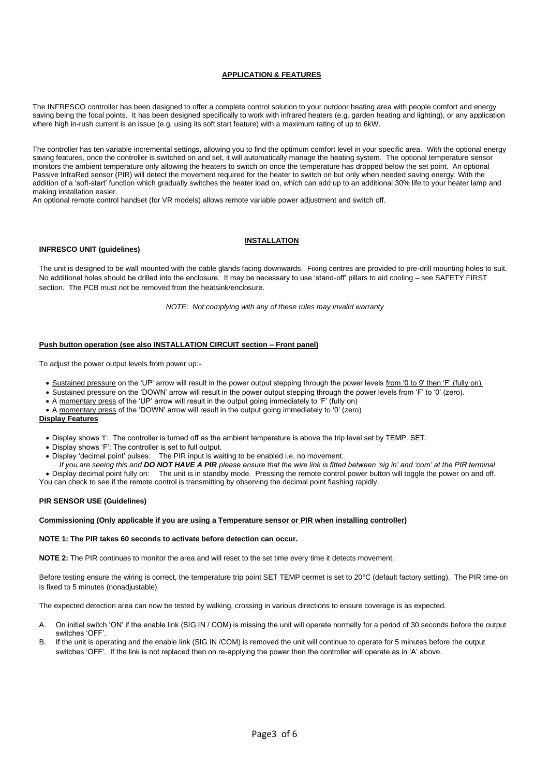#### **APPLICATION & FEATURES**

The INFRESCO controller has been designed to offer a complete control solution to your outdoor heating area with people comfort and energy saving being the focal points. It has been designed specifically to work with infrared heaters (e.g. garden heating and lighting), or any application where high in-rush current is an issue (e.g. using its soft start feature) with a maximum rating of up to 6kW.

The controller has ten variable incremental settings, allowing you to find the optimum comfort level in your specific area. With the optional energy saving features, once the controller is switched on and set, it will automatically manage the heating system. The optional temperature sensor monitors the ambient temperature only allowing the heaters to switch on once the temperature has dropped below the set point. An optional Passive InfraRed sensor (PIR) will detect the movement required for the heater to switch on but only when needed saving energy. With the addition of a 'soft-start' function which gradually switches the heater load on, which can add up to an additional 30% life to your heater lamp and making installation easier.

An optional remote control handset (for VR models) allows remote variable power adjustment and switch off.

#### **INFRESCO UNIT (guidelines)**

#### **INSTALLATION**

The unit is designed to be wall mounted with the cable glands facing downwards. Fixing centres are provided to pre-drill mounting holes to suit. No additional holes should be drilled into the enclosure. It may be necessary to use 'stand-off' pillars to aid cooling – see SAFETY FIRST section. The PCB must not be removed from the heatsink/enclosure.

*NOTE: Not complying with any of these rules may invalid warranty*

#### **Push button operation (see also INSTALLATION CIRCUIT section – Front panel)**

To adjust the power output levels from power up:-

- Sustained pressure on the 'UP' arrow will result in the power output stepping through the power levels from '0 to 9' then 'F' (fully on).
- Sustained pressure on the 'DOWN' arrow will result in the power output stepping through the power levels from 'F' to '0' (zero).
- A momentary press of the 'UP' arrow will result in the output going immediately to 'F' (fully on)
- A momentary press of the 'DOWN' arrow will result in the output going immediately to '0' (zero)

#### **Display Features**

- Display shows 't': The controller is turned off as the ambient temperature is above the trip level set by TEMP. SET.
- Display shows 'F': The controller is set to full output.
- Display 'decimal point' pulses: The PIR input is waiting to be enabled i.e. no movement.

*If you are seeing this and DO NOT HAVE A PIR please ensure that the wire link is fitted between 'sig in' and 'com' at the PIR terminal*  • Display decimal point fully on: The unit is in standby mode. Pressing the remote control power button will toggle the power on and off. You can check to see if the remote control is transmitting by observing the decimal point flashing rapidly.

#### **PIR SENSOR USE (Guidelines)**

#### **Commissioning (Only applicable if you are using a Temperature sensor or PIR when installing controller)**

#### **NOTE 1: The PIR takes 60 seconds to activate before detection can occur.**

**NOTE 2:** The PIR continues to monitor the area and will reset to the set time every time it detects movement.

Before testing ensure the wiring is correct, the temperature trip point SET TEMP cermet is set to 20°C (default factory setting). The PIR time-on is fixed to 5 minutes (nonadjustable).

The expected detection area can now be tested by walking, crossing in various directions to ensure coverage is as expected.

- A. On initial switch 'ON' if the enable link (SIG IN / COM) is missing the unit will operate normally for a period of 30 seconds before the output switches 'OFF'.
- B. If the unit is operating and the enable link (SIG IN /COM) is removed the unit will continue to operate for 5 minutes before the output switches 'OFF'. If the link is not replaced then on re-applying the power then the controller will operate as in 'A' above.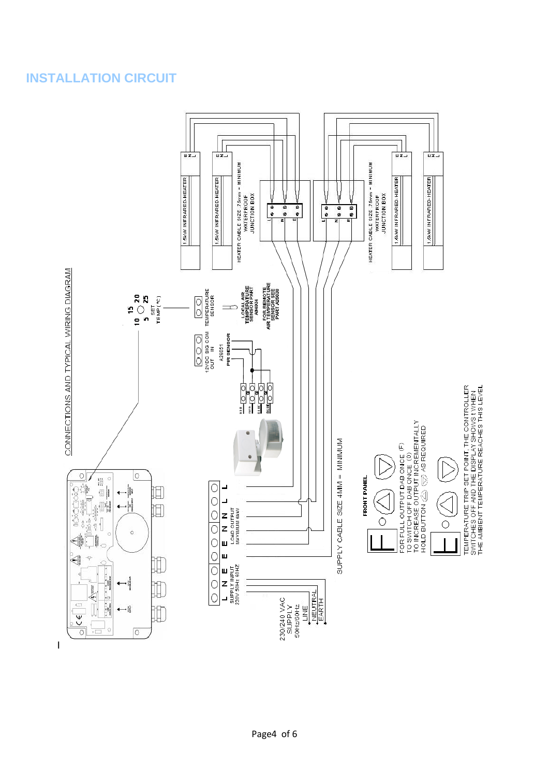# **INSTALLATION CIRCUIT**

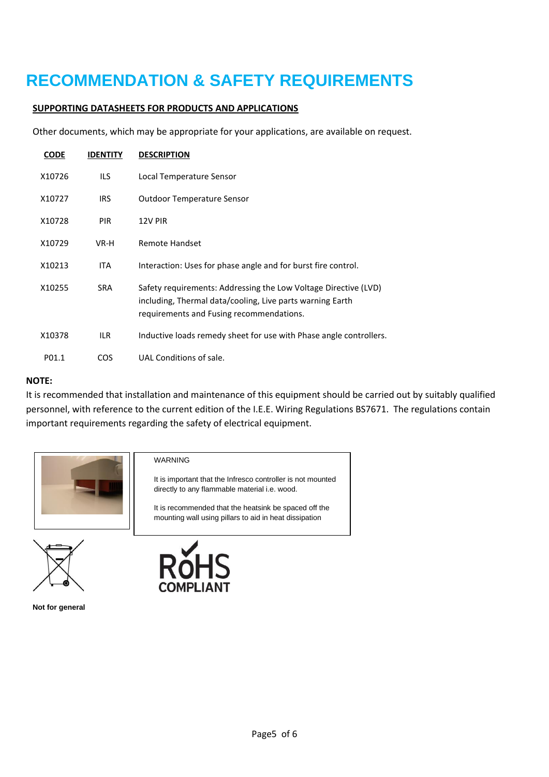# **RECOMMENDATION & SAFETY REQUIREMENTS**

### **SUPPORTING DATASHEETS FOR PRODUCTS AND APPLICATIONS**

Other documents, which may be appropriate for your applications, are available on request.

| CODE   | IDENTITY   | <b>DESCRIPTION</b>                                                                                                                                                       |
|--------|------------|--------------------------------------------------------------------------------------------------------------------------------------------------------------------------|
| X10726 | ILS.       | Local Temperature Sensor                                                                                                                                                 |
| X10727 | IRS.       | <b>Outdoor Temperature Sensor</b>                                                                                                                                        |
| X10728 | <b>PIR</b> | 12V PIR                                                                                                                                                                  |
| X10729 | VR-H       | Remote Handset                                                                                                                                                           |
| X10213 | <b>ITA</b> | Interaction: Uses for phase angle and for burst fire control.                                                                                                            |
| X10255 | <b>SRA</b> | Safety requirements: Addressing the Low Voltage Directive (LVD)<br>including, Thermal data/cooling, Live parts warning Earth<br>requirements and Fusing recommendations. |
| X10378 | ILR.       | Inductive loads remedy sheet for use with Phase angle controllers.                                                                                                       |
| P01.1  | <b>COS</b> | UAL Conditions of sale.                                                                                                                                                  |

### **NOTE:**

It is recommended that installation and maintenance of this equipment should be carried out by suitably qualified personnel, with reference to the current edition of the I.E.E. Wiring Regulations BS7671. The regulations contain important requirements regarding the safety of electrical equipment.



### WARNING

It is important that the Infresco controller is not mounted directly to any flammable material i.e. wood.

It is recommended that the heatsink be spaced off the mounting wall using pillars to aid in heat dissipation





**Not for general**